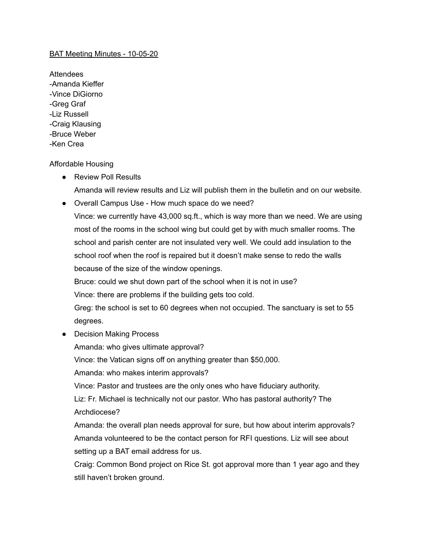## BAT Meeting Minutes - 10-05-20

Attendees -Amanda Kieffer -Vince DiGiorno -Greg Graf -Liz Russell -Craig Klausing -Bruce Weber -Ken Crea

## Affordable Housing

- Review Poll Results
	- Amanda will review results and Liz will publish them in the bulletin and on our website.
- Overall Campus Use How much space do we need?

Vince: we currently have 43,000 sq.ft., which is way more than we need. We are using most of the rooms in the school wing but could get by with much smaller rooms. The school and parish center are not insulated very well. We could add insulation to the school roof when the roof is repaired but it doesn't make sense to redo the walls because of the size of the window openings.

Bruce: could we shut down part of the school when it is not in use?

Vince: there are problems if the building gets too cold.

Greg: the school is set to 60 degrees when not occupied. The sanctuary is set to 55 degrees.

• Decision Making Process

Amanda: who gives ultimate approval?

Vince: the Vatican signs off on anything greater than \$50,000.

Amanda: who makes interim approvals?

Vince: Pastor and trustees are the only ones who have fiduciary authority.

Liz: Fr. Michael is technically not our pastor. Who has pastoral authority? The Archdiocese?

Amanda: the overall plan needs approval for sure, but how about interim approvals? Amanda volunteered to be the contact person for RFI questions. Liz will see about setting up a BAT email address for us.

Craig: Common Bond project on Rice St. got approval more than 1 year ago and they still haven't broken ground.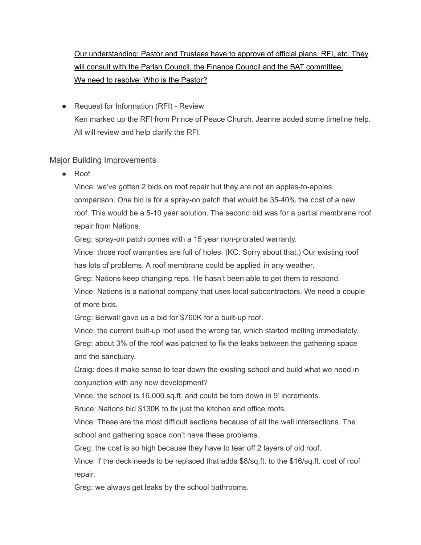## Our understanding: Pastor and Trustees have to approve of official plans, RFI, etc. They will consult with the Parish Council, the Finance Council and the BAT committee. We need to resolve: Who is the Pastor?

● Request for Information (RFI) - Review Ken marked up the RFI from Prince of Peace Church. Jeanne added some timeline help. All will review and help clarify the RFI.

## Major Building Improvements

● Roof

Vince: we've gotten 2 bids on roof repair but they are not an apples-to-apples comparison. One bid is for a spray-on patch that would be 35-40% the cost of a new roof. This would be a 5-10 year solution. The second bid was for a partial membrane roof repair from Nations.

Greg: spray-on patch comes with a 15 year non-prorated warranty.

Vince: those roof warranties are full of holes. (KC: Sorry about that.) Our existing roof has lots of problems. A roof membrane could be applied in any weather.

Greg: Nations keep changing reps. He hasn't been able to get them to respond.

Vince: Nations is a national company that uses local subcontractors. We need a couple of more bids.

Greg: Berwall gave us a bid for \$760K for a built-up roof.

Vince: the current built-up roof used the wrong tar, which started melting immediately. Greg: about 3% of the roof was patched to fix the leaks between the gathering space and the sanctuary.

Craig: does it make sense to tear down the existing school and build what we need in conjunction with any new development?

Vince: the school is 16,000 sq.ft. and could be torn down in 9' increments.

Bruce: Nations bid \$130K to fix just the kitchen and office roofs.

Vince: These are the most difficult sections because of all the wall intersections. The school and gathering space don't have these problems.

Greg: the cost is so high because they have to tear off 2 layers of old roof.

Vince: if the deck needs to be replaced that adds \$8/sq.ft. to the \$16/sq.ft. cost of roof repair.

Greg: we always get leaks by the school bathrooms.